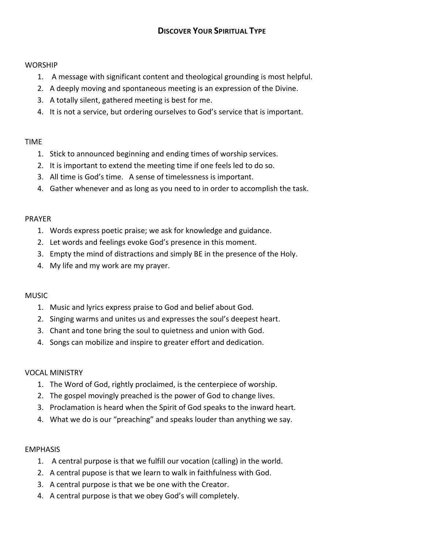#### **WORSHIP**

- 1. A message with significant content and theological grounding is most helpful.
- 2. A deeply moving and spontaneous meeting is an expression of the Divine.
- 3. A totally silent, gathered meeting is best for me.
- 4. It is not a service, but ordering ourselves to God's service that is important.

## TIME

- 1. Stick to announced beginning and ending times of worship services.
- 2. It is important to extend the meeting time if one feels led to do so.
- 3. All time is God's time. A sense of timelessness is important.
- 4. Gather whenever and as long as you need to in order to accomplish the task.

## PRAYER

- 1. Words express poetic praise; we ask for knowledge and guidance.
- 2. Let words and feelings evoke God's presence in this moment.
- 3. Empty the mind of distractions and simply BE in the presence of the Holy.
- 4. My life and my work are my prayer.

### MUSIC

- 1. Music and lyrics express praise to God and belief about God.
- 2. Singing warms and unites us and expresses the soul's deepest heart.
- 3. Chant and tone bring the soul to quietness and union with God.
- 4. Songs can mobilize and inspire to greater effort and dedication.

# **VOCAL MINISTRY**

- 1. The Word of God, rightly proclaimed, is the centerpiece of worship.
- 2. The gospel movingly preached is the power of God to change lives.
- 3. Proclamation is heard when the Spirit of God speaks to the inward heart.
- 4. What we do is our "preaching" and speaks louder than anything we say.

### EMPHASIS

- 1. A central purpose is that we fulfill our vocation (calling) in the world.
- 2. A central pupose is that we learn to walk in faithfulness with God.
- 3. A central purpose is that we be one with the Creator.
- 4. A central purpose is that we obey God's will completely.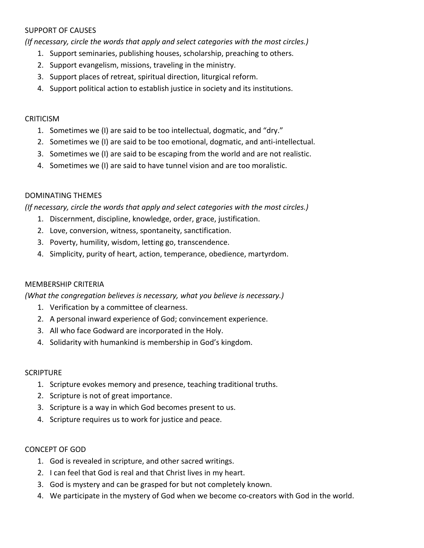#### **SUPPORT OF CAUSES**

*(If necessary, circle the words that apply and select categories with the most circles.)* 

- 1. Support seminaries, publishing houses, scholarship, preaching to others.
- 2. Support evangelism, missions, traveling in the ministry.
- 3. Support places of retreat, spiritual direction, liturgical reform.
- 4. Support political action to establish justice in society and its institutions.

#### **CRITICISM**

- 1. Sometimes we (I) are said to be too intellectual, dogmatic, and "dry."
- 2. Sometimes we (I) are said to be too emotional, dogmatic, and anti-intellectual.
- 3. Sometimes we (I) are said to be escaping from the world and are not realistic.
- 4. Sometimes we (I) are said to have tunnel vision and are too moralistic.

### DOMINATING THEMES

*(If necessary, circle the words that apply and select categories with the most circles.)* 

- 1. Discernment, discipline, knowledge, order, grace, justification.
- 2. Love, conversion, witness, spontaneity, sanctification.
- 3. Poverty, humility, wisdom, letting go, transcendence.
- 4. Simplicity, purity of heart, action, temperance, obedience, martyrdom.

#### MEMBERSHIP CRITERIA

*(What the congregation believes is necessary, what you believe is necessary.)* 

- 1. Verification by a committee of clearness.
- 2. A personal inward experience of God; convincement experience.
- 3. All who face Godward are incorporated in the Holy.
- 4. Solidarity with humankind is membership in God's kingdom.

#### **SCRIPTURE**

- 1. Scripture evokes memory and presence, teaching traditional truths.
- 2. Scripture is not of great importance.
- 3. Scripture is a way in which God becomes present to us.
- 4. Scripture requires us to work for justice and peace.

#### CONCEPT OF GOD

- 1. God is revealed in scripture, and other sacred writings.
- 2. I can feel that God is real and that Christ lives in my heart.
- 3. God is mystery and can be grasped for but not completely known.
- 4. We participate in the mystery of God when we become co-creators with God in the world.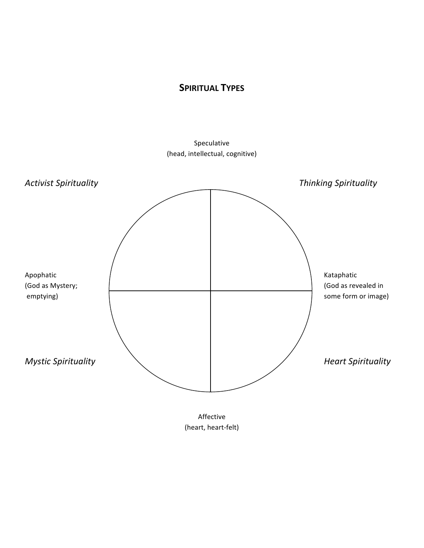# **SPIRITUAL TYPES**

Speculative (head, intellectual, cognitive)



Affective (heart, heart-felt)